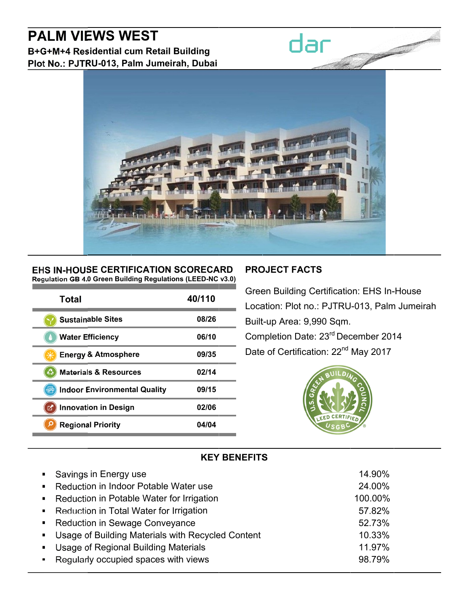# **PALM VIEWS WEST**

B+G+M+4 Residential cum Retail Building Plot No.: PJTRU-013, Palm Jumeirah, Dubai



#### EHS IN-HOUSE CERTIFICATION SCORECARD Regulation GB 4.0 Green Building Regulations (LEED-NC v3.0)

| Total                               | 40/110 |
|-------------------------------------|--------|
| <b>Sustainable Sites</b>            | 08/26  |
| <b>Water Efficiency</b>             | 06/10  |
| <b>Energy &amp; Atmosphere</b>      | 09/35  |
| <b>Materials &amp; Resources</b>    | 02/14  |
| <b>Indoor Environmental Quality</b> | 09/15  |
| <b>Innovation in Design</b><br>M    | 02/06  |
| <b>Regional Priority</b>            | 04/04  |

## **PROJECT FACTS**

dar

**Green Building Certification: EHS In-House** Location: Plot no.: PJTRU-013, Palm Jumeirah Built-up Area: 9,990 Sqm. Completion Date: 23rd December 2014 Date of Certification: 22<sup>nd</sup> May 2017



## **KEY BENEFITS**

| • Savings in Energy use                             | 14.90%  |
|-----------------------------------------------------|---------|
| • Reduction in Indoor Potable Water use             | 24.00%  |
| • Reduction in Potable Water for Irrigation         | 100.00% |
| • Reduction in Total Water for Irrigation           | 57.82%  |
| • Reduction in Sewage Conveyance                    | 52.73%  |
| • Usage of Building Materials with Recycled Content | 10.33%  |
| • Usage of Regional Building Materials              | 11.97%  |
| • Regularly occupied spaces with views              | 98.79%  |